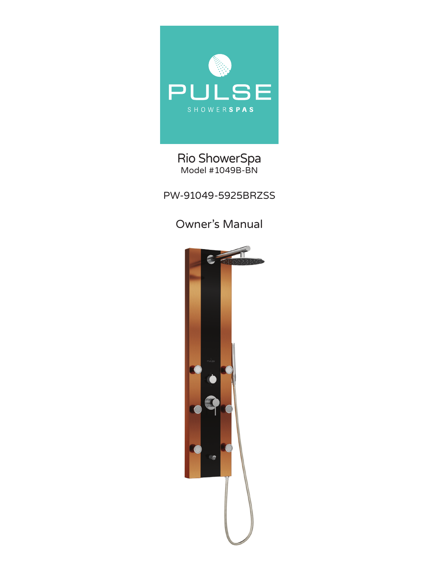

### Rio ShowerSpa Model #1049B-BN

PW-91049-5925BRZSS

## Owner's Manual

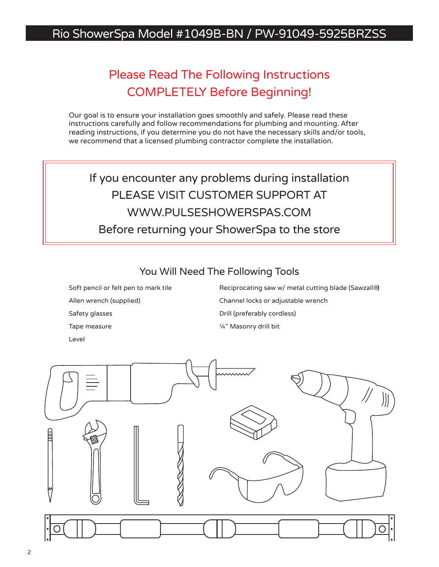## Rio ShowerSpa Model #1049B-BN / PW-91049-5925BRZSS

# Please Read The Following Instructions COMPLETELY Before Beginning!

Our goal is to ensure your installation goes smoothly and safely. Please read these instructions carefully and follow recommendations for plumbing and mounting. After reading instructions, if you determine you do not have the necessary skills and/or tools, we recommend that a licensed plumbing contractor complete the installation.

If you encounter any problems during installation PLEASE VISIT CUSTOMER SUPPORT AT WWW.PULSESHOWERSPAS.COM Before returning your ShowerSpa to the store

You Will Need The Following Tools

Soft pencil or felt pen to mark tile Allen wrench (supplied) Safety glasses Tape measure Level

Reciprocating saw w/ metal cutting blade (Sawzall®) Channel locks or adjustable wrench Drill (preferably cordless) ¼" Masonry drill bit

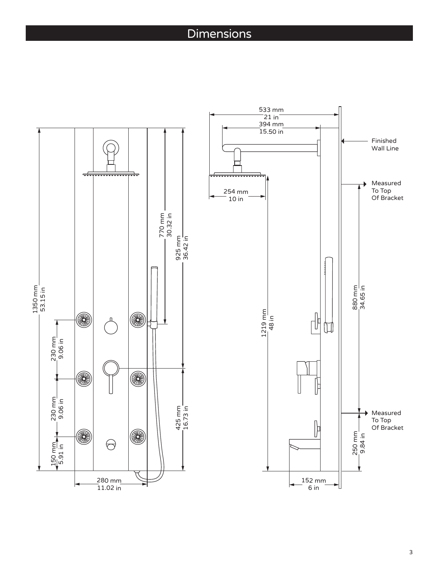## Dimensions

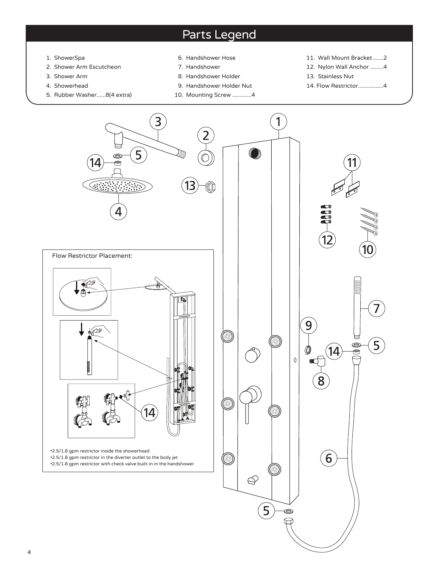## Parts Legend

- 1. ShowerSpa
- 2. Shower Arm Escutcheon
- 3. Shower Arm
- 4. Showerhead
- 5. Rubber Washer......8(4 extra)
- 6. Handshower Hose
- 7. Handshower
- 8. Handshower Holder
- 9. Handshower Holder Nut
- 10. Mounting Screw .............4
- 11. Wall Mount Bracket.......2
- 12. Nylon Wall Anchor .........4
- 13. Stainless Nut
- 14. Flow Restrictor.................4

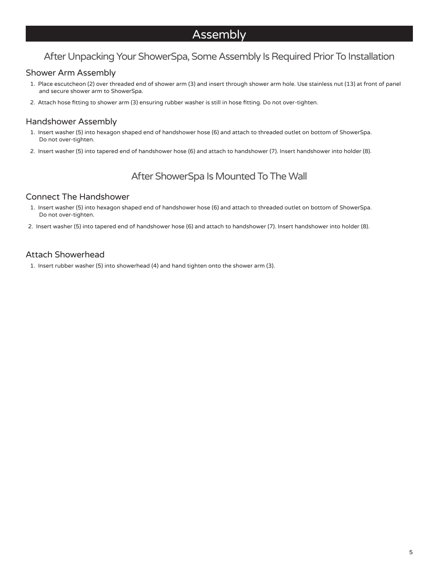## Assembly

### After Unpacking Your ShowerSpa, Some Assembly Is Required Prior To Installation

#### Shower Arm Assembly

- 1. Place escutcheon (2) over threaded end of shower arm (3) and insert through shower arm hole. Use stainless nut (13) at front of panel and secure shower arm to ShowerSpa.
- 2. Attach hose fitting to shower arm (3) ensuring rubber washer is still in hose fitting. Do not over-tighten.

#### Handshower Assembly

- 1. Insert washer (5) into hexagon shaped end of handshower hose (6) and attach to threaded outlet on bottom of ShowerSpa. Do not over-tighten.
- 2. Insert washer (5) into tapered end of handshower hose (6) and attach to handshower (7). Insert handshower into holder (8).

### After ShowerSpa Is Mounted To The Wall

#### Connect The Handshower

- 1. Insert washer (5) into hexagon shaped end of handshower hose (6) and attach to threaded outlet on bottom of ShowerSpa. Do not over-tighten.
- 2. Insert washer (5) into tapered end of handshower hose (6) and attach to handshower (7). Insert handshower into holder (8).

#### Attach Showerhead

1. Insert rubber washer (5) into showerhead (4) and hand tighten onto the shower arm (3).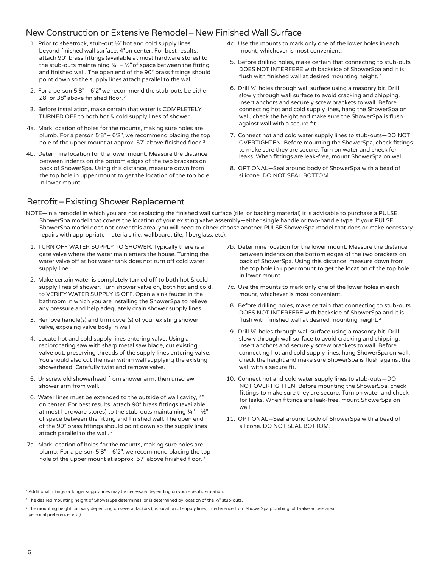#### New Construction or Extensive Remodel–New Finished Wall Surface

- 1. Prior to sheetrock, stub-out ½" hot and cold supply lines beyond finished wall surface, 4" on center. For best results, attach 90° brass fittings (available at most hardware stores) to the stub-outs maintaining  $\frac{1}{4}$ " –  $\frac{1}{2}$ " of space between the fitting and finished wall. The open end of the 90° brass fittings should point down so the supply lines attach parallel to the wall.<sup>1</sup>
- 2. For a person 5'8" 6'2" we recommend the stub-outs be either 28" or 38" above finished floor.<sup>2</sup>
- 3. Before installation, make certain that water is COMPLETELY TURNED OFF to both hot & cold supply lines of shower.
- 4a. Mark location of holes for the mounts, making sure holes are plumb. For a person 5'8" – 6'2", we recommend placing the top hole of the upper mount at approx. 57" above finished floor.<sup>3</sup>
- 4b. Determine location for the lower mount. Measure the distance between indents on the bottom edges of the two brackets on back of ShowerSpa. Using this distance, measure down from the top hole in upper mount to get the location of the top hole in lower mount.
- 4c. Use the mounts to mark only one of the lower holes in each mount, whichever is most convenient.
- 5. Before drilling holes, make certain that connecting to stub-outs DOES NOT INTERFERE with backside of ShowerSpa and it is flush with finished wall at desired mounting height. <sup>2</sup>
- 6. Drill ¼" holes through wall surface using a masonry bit. Drill slowly through wall surface to avoid cracking and chipping. Insert anchors and securely screw brackets to wall. Before connecting hot and cold supply lines, hang the ShowerSpa on wall, check the height and make sure the ShowerSpa is flush against wall with a secure fit.
- 7. Connect hot and cold water supply lines to stub-outs—DO NOT OVERTIGHTEN. Before mounting the ShowerSpa, check fittings to make sure they are secure. Turn on water and check for leaks. When fittings are leak-free, mount ShowerSpa on wall.
- 8. OPTIONAL—Seal around body of ShowerSpa with a bead of silicone. DO NOT SEAL BOTTOM.

### Retrofit–Existing Shower Replacement

- NOTE—In a remodel in which you are not replacing the finished wall surface (tile, or backing material) it is advisable to purchase a PULSE ShowerSpa model that covers the location of your existing valve assembly—either single handle or two-handle type. If your PULSE ShowerSpa model does not cover this area, you will need to either choose another PULSE ShowerSpa model that does or make necessary repairs with appropriate materials (i.e. wallboard, tile, fiberglass, etc).
- 1. TURN OFF WATER SUPPLY TO SHOWER. Typically there is a gate valve where the water main enters the house. Turning the water valve off at hot water tank does not turn off cold water supply line.
- 2. Make certain water is completely turned off to both hot & cold supply lines of shower. Turn shower valve on, both hot and cold, to VERIFY WATER SUPPLY IS OFF. Open a sink faucet in the bathroom in which you are installing the ShowerSpa to relieve any pressure and help adequately drain shower supply lines.
- 3. Remove handle(s) and trim cover(s) of your existing shower valve, exposing valve body in wall.
- 4. Locate hot and cold supply lines entering valve. Using a reciprocating saw with sharp metal saw blade, cut existing valve out, preserving threads of the supply lines entering valve. You should also cut the riser within wall supplying the existing showerhead. Carefully twist and remove valve.
- 5. Unscrew old showerhead from shower arm, then unscrew shower arm from wall.
- 6. Water lines must be extended to the outside of wall cavity, 4" on center. For best results, attach 90° brass fittings (available at most hardware stores) to the stub-outs maintaining  $\frac{1}{4}$ " –  $\frac{1}{2}$ " of space between the fitting and finished wall. The open end of the 90° brass fittings should point down so the supply lines attach parallel to the wall. $<sup>1</sup>$ </sup>
- 7a. Mark location of holes for the mounts, making sure holes are plumb. For a person 5'8" – 6'2", we recommend placing the top hole of the upper mount at approx. 57" above finished floor.<sup>3</sup>
- 7b. Determine location for the lower mount. Measure the distance between indents on the bottom edges of the two brackets on back of ShowerSpa. Using this distance, measure down from the top hole in upper mount to get the location of the top hole in lower mount.
- 7c. Use the mounts to mark only one of the lower holes in each mount, whichever is most convenient.
- 8. Before drilling holes, make certain that connecting to stub-outs DOES NOT INTERFERE with backside of ShowerSpa and it is flush with finished wall at desired mounting height. <sup>2</sup>
- 9. Drill ¼" holes through wall surface using a masonry bit. Drill slowly through wall surface to avoid cracking and chipping. Insert anchors and securely screw brackets to wall. Before connecting hot and cold supply lines, hang ShowerSpa on wall, check the height and make sure ShowerSpa is flush against the wall with a secure fit.
- 10. Connect hot and cold water supply lines to stub-outs—DO NOT OVERTIGHTEN. Before mounting the ShowerSpa, check fittings to make sure they are secure. Turn on water and check for leaks. When fittings are leak-free, mount ShowerSpa on wall.
- 11. OPTIONAL—Seal around body of ShowerSpa with a bead of silicone. DO NOT SEAL BOTTOM.

<sup>&</sup>lt;sup>1</sup> Additional fittings or longer supply lines may be necessary depending on your specific situation.

<sup>&</sup>lt;sup>2</sup> The desired mounting height of ShowerSpa determines, or is determined by location of the 1/2" stub-outs.

<sup>&</sup>lt;sup>3</sup> The mounting height can vary depending on several factors (i.e. location of supply lines, interference from ShowerSpa plumbing, old valve access area, personal preference, etc.)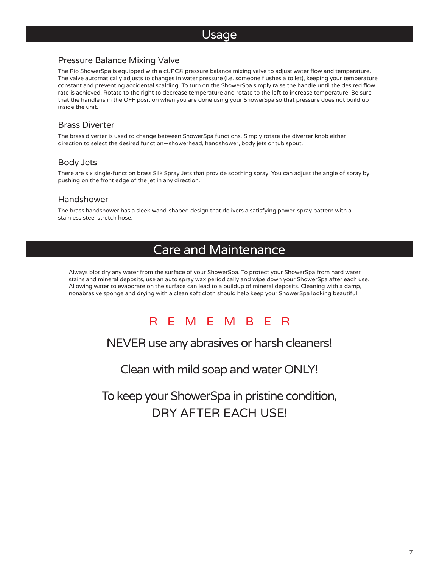### Usage

#### Pressure Balance Mixing Valve

The Rio ShowerSpa is equipped with a cUPC® pressure balance mixing valve to adjust water flow and temperature. The valve automatically adjusts to changes in water pressure (i.e. someone flushes a toilet), keeping your temperature constant and preventing accidental scalding. To turn on the ShowerSpa simply raise the handle until the desired flow rate is achieved. Rotate to the right to decrease temperature and rotate to the left to increase temperature. Be sure that the handle is in the OFF position when you are done using your ShowerSpa so that pressure does not build up inside the unit.

#### Brass Diverter

The brass diverter is used to change between ShowerSpa functions. Simply rotate the diverter knob either direction to select the desired function—showerhead, handshower, body jets or tub spout.

#### Body Jets

There are six single-function brass Silk Spray Jets that provide soothing spray. You can adjust the angle of spray by pushing on the front edge of the jet in any direction.

#### Handshower

The brass handshower has a sleek wand-shaped design that delivers a satisfying power-spray pattern with a stainless steel stretch hose.

### Care and Maintenance

Always blot dry any water from the surface of your ShowerSpa. To protect your ShowerSpa from hard water stains and mineral deposits, use an auto spray wax periodically and wipe down your ShowerSpa after each use. Allowing water to evaporate on the surface can lead to a buildup of mineral deposits. Cleaning with a damp, nonabrasive sponge and drying with a clean soft cloth should help keep your ShowerSpa looking beautiful.



### NEVER use any abrasives or harsh cleaners!

Clean with mild soap and water ONLY!

To keep your ShowerSpa in pristine condition, DRY AFTER EACH USE!